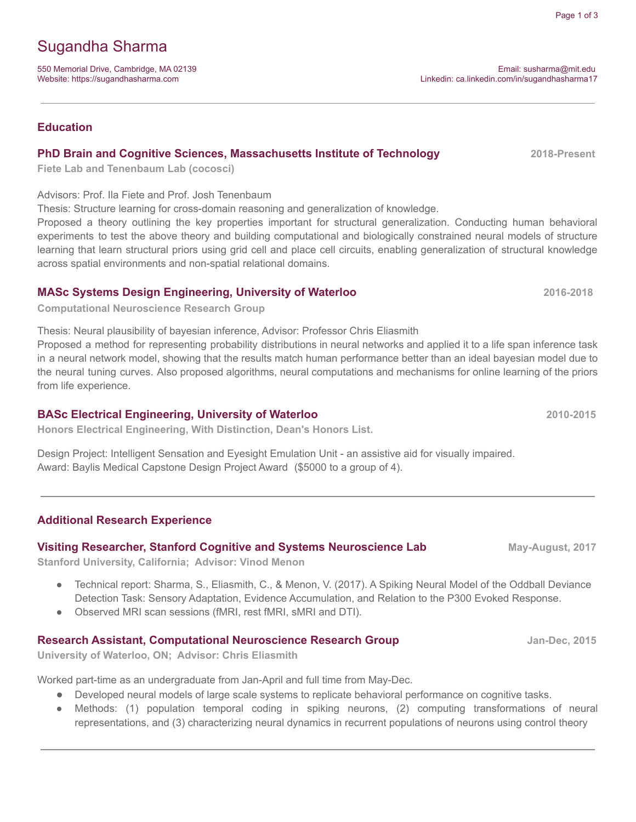# Sugandha Sharma

550 Memorial Drive, Cambridge, MA 02139 Email: [susharma@mit.](mailto:s72sharm@uwaterloo.ca)edu Website: <https://sugandhasharma.com> etc. https://sugandhasharma17

## **Education**

## **PhD Brain and Cognitive Sciences, Massachusetts Institute of Technology 2018-Present**

**Fiete Lab and Tenenbaum Lab (cocosci)**

### Advisors: Prof. Ila Fiete and Prof. Josh Tenenbaum

Thesis: Structure learning for cross-domain reasoning and generalization of knowledge.

Proposed a theory outlining the key properties important for structural generalization. Conducting human behavioral experiments to test the above theory and building computational and biologically constrained neural models of structure learning that learn structural priors using grid cell and place cell circuits, enabling generalization of structural knowledge across spatial environments and non-spatial relational domains.

## **MASc Systems Design Engineering, University of Waterloo 2016-2018**

**Computational Neuroscience Research Group**

Thesis: Neural plausibility of bayesian inference, Advisor: Professor Chris Eliasmith Proposed a method for representing probability distributions in neural networks and applied it to a life span inference task in a neural network model, showing that the results match human performance better than an ideal bayesian model due to the neural tuning curves. Also proposed algorithms, neural computations and mechanisms for online learning of the priors from life experience.

## **BASc Electrical Engineering, University of Waterloo 2010-2015**

**Honors Electrical Engineering, With Distinction, Dean's Honors List.**

Design Project: Intelligent Sensation and Eyesight Emulation Unit - an assistive aid for visually impaired. Award: Baylis Medical Capstone Design Project Award (\$5000 to a group of 4).

## **Additional Research Experience**

## **Visiting Researcher, Stanford Cognitive and Systems Neuroscience Lab May-August, 2017**

**Stanford University, California; Advisor: Vinod Menon**

- Technical report: Sharma, S., Eliasmith, C., & Menon, V. (2017). A Spiking Neural Model of the Oddball Deviance Detection Task: Sensory Adaptation, Evidence Accumulation, and Relation to the P300 Evoked Response.
- Observed MRI scan sessions (fMRI, rest fMRI, sMRI and DTI).

## **Research Assistant, Computational Neuroscience Research Group Jan-Dec, 2015**

**University of Waterloo, ON; Advisor: Chris Eliasmith**

Worked part-time as an undergraduate from Jan-April and full time from May-Dec.

- Developed neural models of large scale systems to replicate behavioral performance on cognitive tasks.
- Methods: (1) population temporal coding in spiking neurons, (2) computing transformations of neural representations, and (3) characterizing neural dynamics in recurrent populations of neurons using control theory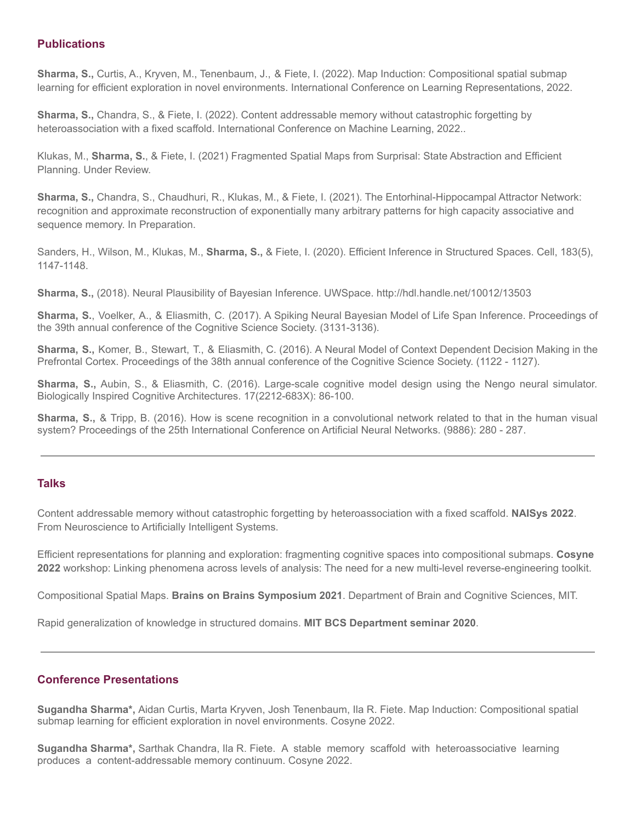### **Publications**

**Sharma, S.,** Curtis, A., Kryven, M., Tenenbaum, J., & Fiete, I. (2022). Map Induction: Compositional spatial submap learning for efficient exploration in novel environments. International Conference on Learning Representations, 2022.

**Sharma, S.,** Chandra, S., & Fiete, I. (2022). Content addressable memory without catastrophic forgetting by heteroassociation with a fixed scaffold. International Conference on Machine Learning, 2022..

Klukas, M., **Sharma, S.**, & Fiete, I. (2021) Fragmented Spatial Maps from Surprisal: State Abstraction and Efficient Planning. Under Review.

**Sharma, S.,** Chandra, S., Chaudhuri, R., Klukas, M., & Fiete, I. (2021). The Entorhinal-Hippocampal Attractor Network: recognition and approximate reconstruction of exponentially many arbitrary patterns for high capacity associative and sequence memory. In Preparation.

Sanders, H., Wilson, M., Klukas, M., **Sharma, S.,** & Fiete, I. (2020). Efficient Inference in Structured Spaces. Cell, 183(5), 1147-1148.

**Sharma, S.,** (2018). Neural Plausibility of Bayesian Inference. UWSpace. <http://hdl.handle.net/10012/13503>

**Sharma, S.**, Voelker, A., & Eliasmith, C. (2017). A Spiking Neural Bayesian Model of Life Span Inference. [Proceedings](https://cogsci.mindmodeling.org/2017/papers/0591/index.html) of the 39th annual conference of the Cognitive Science Society. [\(3131-3136\).](https://cogsci.mindmodeling.org/2017/papers/0591/index.html)

**Sharma, S.,** Komer, B., Stewart, T., & Eliasmith, C. (2016). A Neural Model of Context [Dependent](https://cogsci.mindmodeling.org/2016/papers/0202/) Decision Making in the Prefrontal Cortex. [Proceedings](https://cogsci.mindmodeling.org/2016/papers/0202/) of the 38th annual conference of the Cognitive Science Society. (1122 - 1127).

**Sharma, S.,** Aubin, S., & Eliasmith, C. (2016). [Large-scale](https://www.sciencedirect.com/science/article/abs/pii/S2212683X16300317) cognitive model design using the Nengo neural simulator. Biologically Inspired Cognitive Architectures. [17\(2212-683X\):](https://www.sciencedirect.com/science/article/abs/pii/S2212683X16300317) 86-100.

**Sharma, S.,** & Tripp, B. (2016). How is scene recognition in a [convolutional](https://link.springer.com/chapter/10.1007/978-3-319-44778-0_33) network related to that in the human visual system? [Proceedings](https://link.springer.com/chapter/10.1007/978-3-319-44778-0_33) of the 25th International Conference on Artificial Neural Networks. (9886): 280 - 287.

#### **Talks**

Content addressable memory without catastrophic forgetting by heteroassociation with a fixed scaffold. **NAISys 2022**. From Neuroscience to Artificially Intelligent Systems.

Efficient representations for planning and exploration: fragmenting cognitive spaces into compositional submaps. **Cosyne 2022** workshop: Linking phenomena across levels of analysis: The need for a new multi-level reverse-engineering toolkit.

Compositional Spatial Maps. **Brains on Brains Symposium 2021**. Department of Brain and Cognitive Sciences, MIT.

Rapid generalization of knowledge in structured domains. **MIT BCS Department seminar 2020**.

## **Conference Presentations**

**Sugandha Sharma\*,** Aidan Curtis, Marta Kryven, Josh Tenenbaum, Ila R. Fiete. Map Induction: Compositional spatial submap learning for efficient exploration in novel environments. Cosyne 2022.

**Sugandha Sharma\*,** Sarthak Chandra, Ila R. Fiete. A stable memory scaffold with heteroassociative learning produces a content-addressable memory continuum. Cosyne 2022.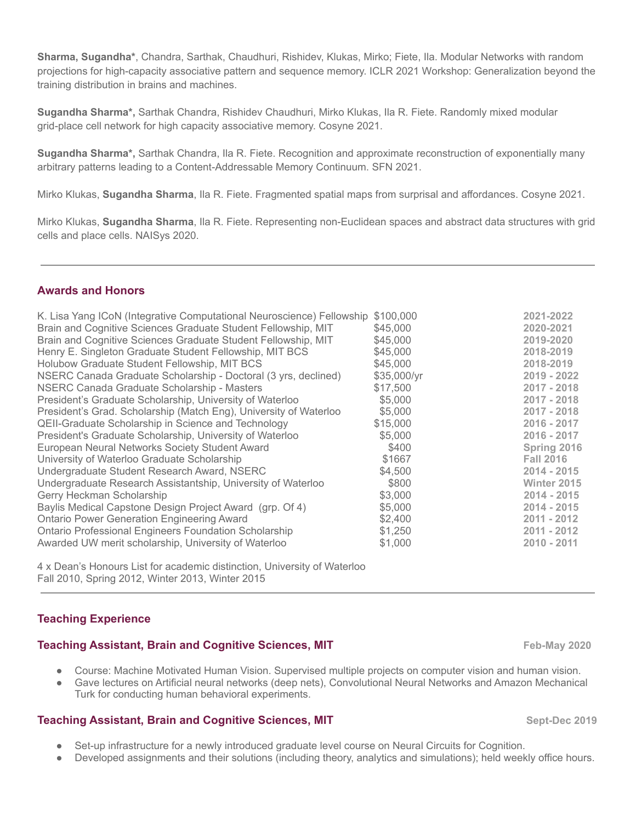**Sharma, Sugandha\***, Chandra, Sarthak, Chaudhuri, Rishidev, Klukas, Mirko; Fiete, Ila. Modular Networks with random projections for high-capacity associative pattern and sequence memory. ICLR 2021 Workshop: [Generalization](https://iclr2021generalization.github.io/) beyond the training [distribution](https://iclr2021generalization.github.io/) in brains and machines.

**Sugandha Sharma\*,** Sarthak Chandra, Rishidev Chaudhuri, Mirko Klukas, Ila R. Fiete. Randomly mixed modular grid-place cell network for high capacity associative memory. Cosyne 2021.

**Sugandha Sharma\*,** Sarthak Chandra, Ila R. Fiete. Recognition and approximate reconstruction of exponentially many arbitrary patterns leading to a Content-Addressable Memory Continuum. SFN 2021.

Mirko Klukas, **Sugandha Sharma**, Ila R. Fiete. Fragmented spatial maps from surprisal and affordances. Cosyne 2021.

Mirko Klukas, **Sugandha Sharma**, Ila R. Fiete. Representing non-Euclidean spaces and abstract data structures with grid cells and place cells. NAISys 2020.

#### **Awards and Honors**

4 x Dean's Honours List for academic distinction, University of Waterloo Fall 2010, Spring 2012, Winter 2013, Winter 2015

#### **Teaching Experience**

#### **Teaching Assistant, Brain and Cognitive Sciences, MIT Feb-May 2020**

- Course: Machine Motivated Human Vision. Supervised multiple projects on computer vision and human vision.
- Gave lectures on Artificial neural networks (deep nets), Convolutional Neural Networks and Amazon Mechanical Turk for conducting human behavioral experiments.

#### **Teaching Assistant, Brain and Cognitive Sciences, MIT Sept-Dec 2019**

- Set-up infrastructure for a newly introduced graduate level course on Neural Circuits for Cognition.
- Developed assignments and their solutions (including theory, analytics and simulations); held weekly office hours.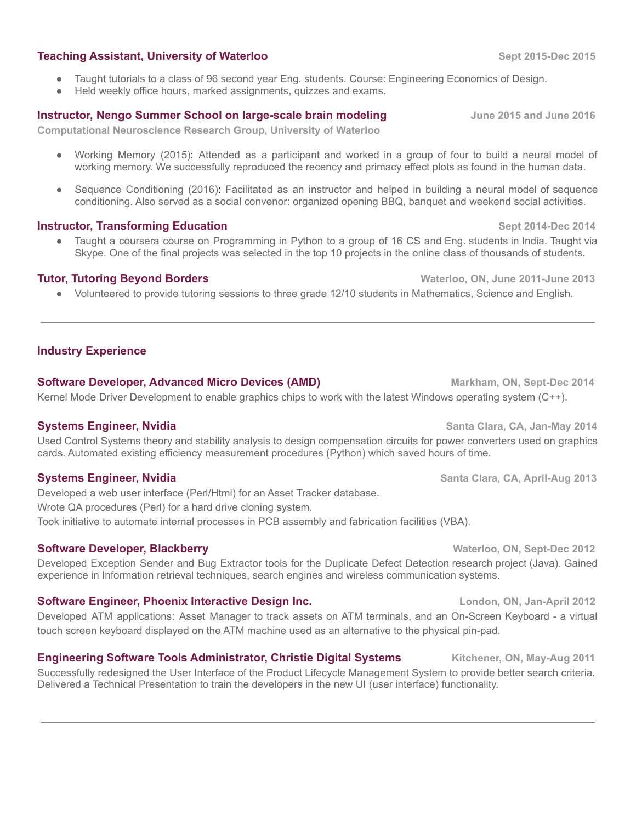#### **Teaching Assistant, University of Waterloo Sept 2015-Dec 2015**

- Taught tutorials to a class of 96 second year Eng. students. Course: Engineering Economics of Design.
- Held weekly office hours, marked assignments, quizzes and exams.

#### **Instructor, Nengo Summer School on large-scale brain modeling June 2015 and June 2016**

**Computational Neuroscience Research Group, University of Waterloo**

- Working Memory (2015): Attended as a participant and worked in a group of four to build a neural model of working memory. We successfully reproduced the recency and primacy effect plots as found in the human data.
- Sequence Conditioning (2016): Facilitated as an instructor and helped in building a neural model of sequence conditioning. Also served as a social convenor: organized opening BBQ, banquet and weekend social activities.

#### **Instructor, Transforming Education Septimary 10.144 and 2014-Dec** 2014-Dec 2014

Taught a coursera course on Programming in Python to a group of 16 CS and Eng. students in India. Taught via Skype. One of the final projects was selected in the top 10 projects in the online class of thousands of students.

### **Tutor, Tutoring Beyond Borders Constanting Constanting Constanting Constanting Constanting Constanting Constanting Constanting Constanting Constanting Constanting Constanting Constanting Constanting Constanting Constant**

● Volunteered to provide tutoring sessions to three grade 12/10 students in Mathematics, Science and English.

## **Industry Experience**

#### **Software Developer, Advanced Micro Devices (AMD) Markham, ON, Sept-Dec 2014**

Kernel Mode Driver Development to enable graphics chips to work with the latest Windows operating system (C++).

#### **Systems Engineer, Nvidia Santa Clara, CA, Jan-May 2014**

Used Control Systems theory and stability analysis to design compensation circuits for power converters used on graphics cards. Automated existing efficiency measurement procedures (Python) which saved hours of time.

Developed a web user interface (Perl/Html) for an Asset Tracker database. Wrote QA procedures (Perl) for a hard drive cloning system. Took initiative to automate internal processes in PCB assembly and fabrication facilities (VBA).

## **Software Developer, Blackberry <b>Waterloo, 2012 Waterloo, ON, Sept-Dec** 2012

Developed Exception Sender and Bug Extractor tools for the Duplicate Defect Detection research project (Java). Gained experience in Information retrieval techniques, search engines and wireless communication systems.

#### **Software Engineer, Phoenix Interactive Design Inc. London, ON, Jan-April 2012**

Developed ATM applications: Asset Manager to track assets on ATM terminals, and an On-Screen Keyboard - a virtual touch screen keyboard displayed on the ATM machine used as an alternative to the physical pin-pad.

## **Engineering Software Tools Administrator, Christie Digital Systems Kitchener, ON, May-Aug 2011**

Successfully redesigned the User Interface of the Product Lifecycle Management System to provide better search criteria. Delivered a Technical Presentation to train the developers in the new UI (user interface) functionality.

**Systems Engineer, Nvidia Santa Clara, CA, April-Aug 2013**